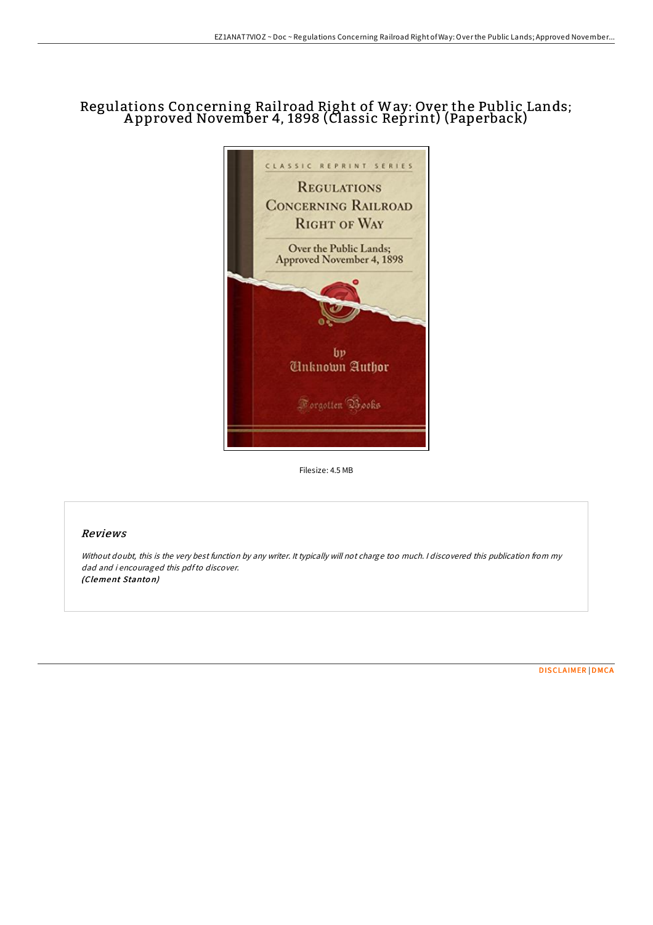## Regulations Concerning Rail road Right of Way: Over the Public Lands; A pproved November 4, 1898 (Classic Reprint) (Paperback)



Filesize: 4.5 MB

## Reviews

Without doubt, this is the very best function by any writer. It typically will not charge too much. <sup>I</sup> discovered this publication from my dad and i encouraged this pdfto discover. (Clement Stanto n)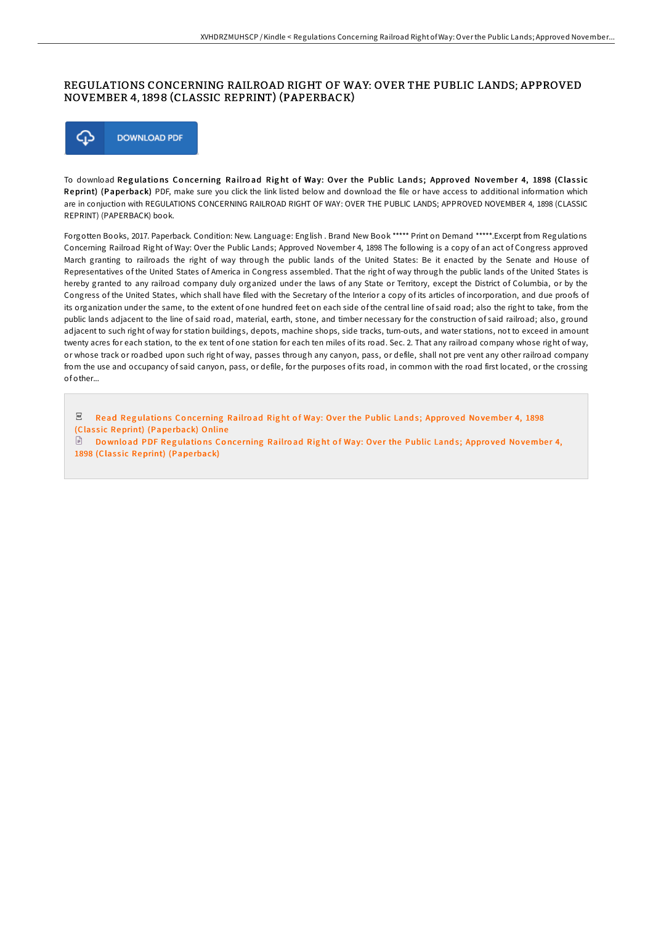## REGULATIONS CONCERNING RAILROAD RIGHT OF WAY: OVER THE PUBLIC LANDS; APPROVED NOVEMBER 4, 1898 (CLASSIC REPRINT) (PAPERBACK)



To download Regulations Concerning Railroad Right of Way: Over the Public Lands; Approved November 4, 1898 (Classic Reprint) (Paperback) PDF, make sure you click the link listed below and download the file or have access to additional information which are in conjuction with REGULATIONS CONCERNING RAILROAD RIGHT OF WAY: OVER THE PUBLIC LANDS; APPROVED NOVEMBER 4, 1898 (CLASSIC REPRINT) (PAPERBACK) book.

Forgotten Books, 2017. Paperback. Condition: New. Language: English . Brand New Book \*\*\*\*\* Print on Demand \*\*\*\*\*.Excerpt from Regulations Concerning Railroad Right of Way: Over the Public Lands; Approved November 4, 1898 The following is a copy of an act of Congress approved March granting to railroads the right of way through the public lands of the United States: Be it enacted by the Senate and House of Representatives of the United States of America in Congress assembled. That the right of way through the public lands of the United States is hereby granted to any railroad company duly organized under the laws of any State or Territory, except the District of Columbia, or by the Congress of the United States, which shall have filed with the Secretary of the Interior a copy of its articles of incorporation, and due proofs of its organization under the same, to the extent of one hundred feet on each side of the central line of said road; also the right to take, from the public lands adjacent to the line of said road, material, earth, stone, and timber necessary for the construction of said railroad; also, ground adjacent to such right of way for station buildings, depots, machine shops, side tracks, turn-outs, and water stations, not to exceed in amount twenty acres for each station, to the ex tent of one station for each ten miles of its road. Sec. 2. That any railroad company whose right of way, or whose track or roadbed upon such right of way, passes through any canyon, pass, or defile, shall not pre vent any other railroad company from the use and occupancy of said canyon, pass, or defile, for the purposes of its road, in common with the road first located, or the crossing of other...

 $_{\rm PDF}$ Read Regulations Concerning Railroad Right of Way: Over the Public Lands; Approved November 4, 1898 (Classic [Reprint\)](http://almighty24.tech/regulations-concerning-railroad-right-of-way-ove.html) (Paperback) Online  $\Box$  Download PDF Regulations Concerning Railroad Right of Way: Over the Public Lands; Approved November 4,

1898 (Classic [Reprint\)](http://almighty24.tech/regulations-concerning-railroad-right-of-way-ove.html) (Paperback)